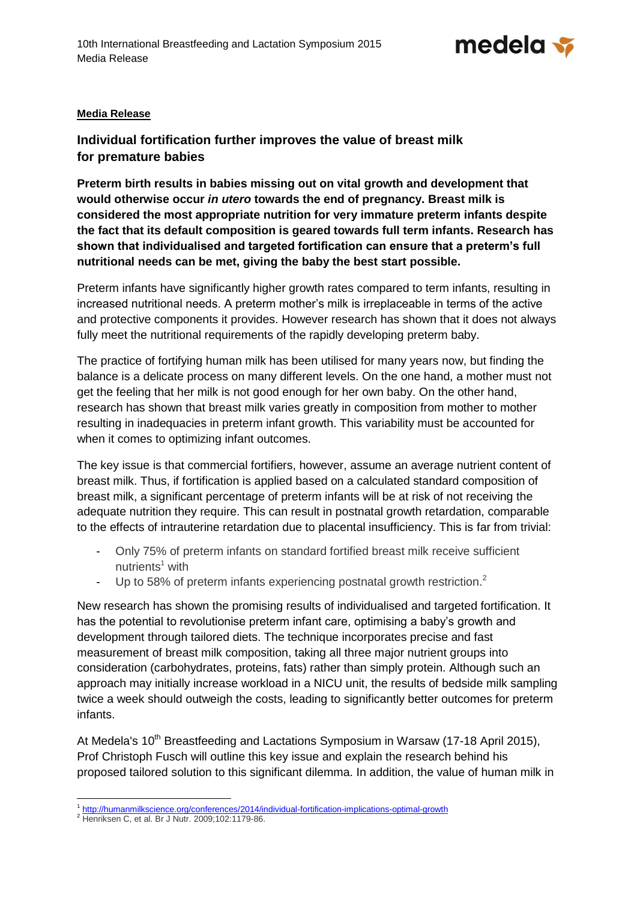

## **Media Release**

**Individual fortification further improves the value of breast milk for premature babies**

**Preterm birth results in babies missing out on vital growth and development that would otherwise occur** *in utero* **towards the end of pregnancy. Breast milk is considered the most appropriate nutrition for very immature preterm infants despite the fact that its default composition is geared towards full term infants. Research has shown that individualised and targeted fortification can ensure that a preterm's full nutritional needs can be met, giving the baby the best start possible.** 

Preterm infants have significantly higher growth rates compared to term infants, resulting in increased nutritional needs. A preterm mother's milk is irreplaceable in terms of the active and protective components it provides. However research has shown that it does not always fully meet the nutritional requirements of the rapidly developing preterm baby.

The practice of fortifying human milk has been utilised for many years now, but finding the balance is a delicate process on many different levels. On the one hand, a mother must not get the feeling that her milk is not good enough for her own baby. On the other hand, research has shown that breast milk varies greatly in composition from mother to mother resulting in inadequacies in preterm infant growth. This variability must be accounted for when it comes to optimizing infant outcomes.

The key issue is that commercial fortifiers, however, assume an average nutrient content of breast milk. Thus, if fortification is applied based on a calculated standard composition of breast milk, a significant percentage of preterm infants will be at risk of not receiving the adequate nutrition they require. This can result in postnatal growth retardation, comparable to the effects of intrauterine retardation due to placental insufficiency. This is far from trivial:

- Only 75% of preterm infants on standard fortified breast milk receive sufficient nutrients $<sup>1</sup>$  with</sup>
- Up to 58% of preterm infants experiencing postnatal growth restriction.<sup>2</sup>

New research has shown the promising results of individualised and targeted fortification. It has the potential to revolutionise preterm infant care, optimising a baby's growth and development through tailored diets. The technique incorporates precise and fast measurement of breast milk composition, taking all three major nutrient groups into consideration (carbohydrates, proteins, fats) rather than simply protein. Although such an approach may initially increase workload in a NICU unit, the results of bedside milk sampling twice a week should outweigh the costs, leading to significantly better outcomes for preterm infants.

At Medela's 10<sup>th</sup> Breastfeeding and Lactations Symposium in Warsaw (17-18 April 2015), Prof Christoph Fusch will outline this key issue and explain the research behind his proposed tailored solution to this significant dilemma. In addition, the value of human milk in

 $\overline{a}$ 1 <http://humanmilkscience.org/conferences/2014/individual-fortification-implications-optimal-growth>

<sup>&</sup>lt;sup>2</sup> Henriksen C, et al. Br J Nutr. 2009;102:1179-86.